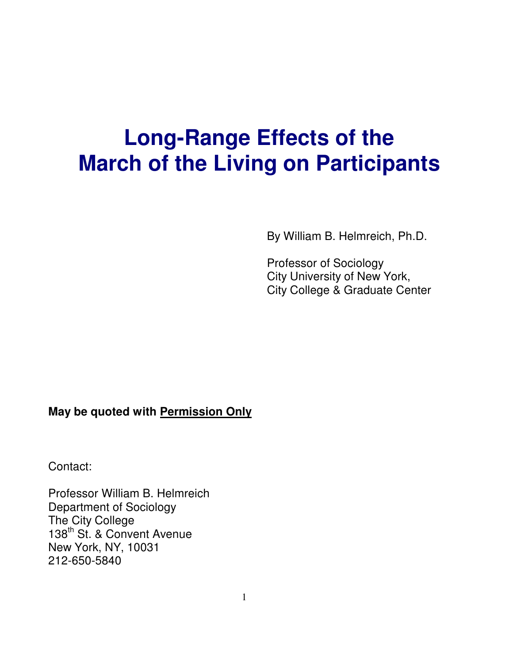# **Long-Range Effects of the March of the Living on Participants**

By William B. Helmreich, Ph.D.

Professor of Sociology City University of New York, City College & Graduate Center

## **May be quoted with Permission Only**

Contact:

Professor William B. Helmreich Department of Sociology The City College 138<sup>th</sup> St. & Convent Avenue New York, NY, 10031 212-650-5840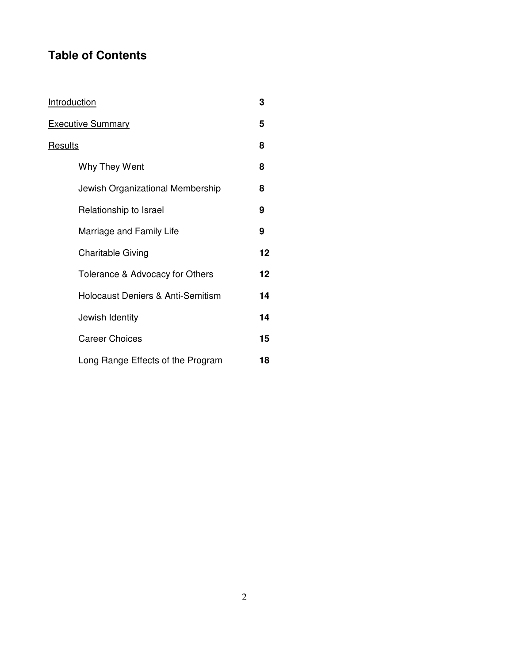# **Table of Contents**

| <u>Introduction</u>                          | 3  |
|----------------------------------------------|----|
| <b>Executive Summary</b>                     | 5  |
| <u>Results</u>                               | 8  |
| Why They Went                                | 8  |
| Jewish Organizational Membership             | 8  |
| Relationship to Israel                       | 9  |
| Marriage and Family Life                     | 9  |
| <b>Charitable Giving</b>                     | 12 |
| Tolerance & Advocacy for Others              | 12 |
| <b>Holocaust Deniers &amp; Anti-Semitism</b> | 14 |
| Jewish Identity                              | 14 |
| <b>Career Choices</b>                        | 15 |
| Long Range Effects of the Program            | 18 |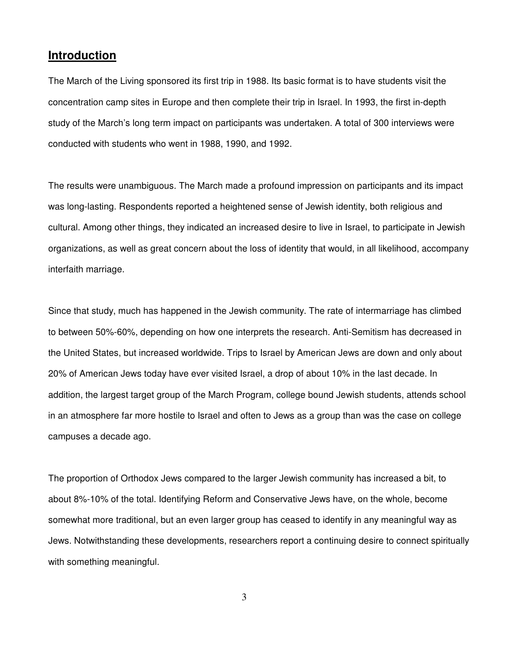## **Introduction**

The March of the Living sponsored its first trip in 1988. Its basic format is to have students visit the concentration camp sites in Europe and then complete their trip in Israel. In 1993, the first in-depth study of the March's long term impact on participants was undertaken. A total of 300 interviews were conducted with students who went in 1988, 1990, and 1992.

The results were unambiguous. The March made a profound impression on participants and its impact was long-lasting. Respondents reported a heightened sense of Jewish identity, both religious and cultural. Among other things, they indicated an increased desire to live in Israel, to participate in Jewish organizations, as well as great concern about the loss of identity that would, in all likelihood, accompany interfaith marriage.

Since that study, much has happened in the Jewish community. The rate of intermarriage has climbed to between 50%-60%, depending on how one interprets the research. Anti-Semitism has decreased in the United States, but increased worldwide. Trips to Israel by American Jews are down and only about 20% of American Jews today have ever visited Israel, a drop of about 10% in the last decade. In addition, the largest target group of the March Program, college bound Jewish students, attends school in an atmosphere far more hostile to Israel and often to Jews as a group than was the case on college campuses a decade ago.

The proportion of Orthodox Jews compared to the larger Jewish community has increased a bit, to about 8%-10% of the total. Identifying Reform and Conservative Jews have, on the whole, become somewhat more traditional, but an even larger group has ceased to identify in any meaningful way as Jews. Notwithstanding these developments, researchers report a continuing desire to connect spiritually with something meaningful.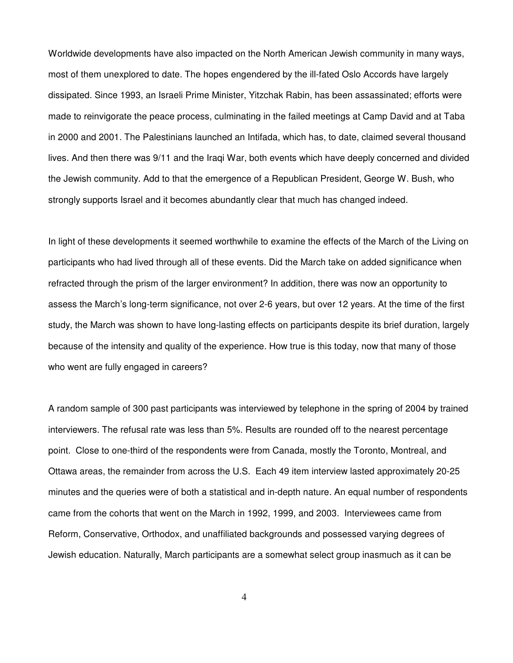Worldwide developments have also impacted on the North American Jewish community in many ways, most of them unexplored to date. The hopes engendered by the ill-fated Oslo Accords have largely dissipated. Since 1993, an Israeli Prime Minister, Yitzchak Rabin, has been assassinated; efforts were made to reinvigorate the peace process, culminating in the failed meetings at Camp David and at Taba in 2000 and 2001. The Palestinians launched an Intifada, which has, to date, claimed several thousand lives. And then there was 9/11 and the Iraqi War, both events which have deeply concerned and divided the Jewish community. Add to that the emergence of a Republican President, George W. Bush, who strongly supports Israel and it becomes abundantly clear that much has changed indeed.

In light of these developments it seemed worthwhile to examine the effects of the March of the Living on participants who had lived through all of these events. Did the March take on added significance when refracted through the prism of the larger environment? In addition, there was now an opportunity to assess the March's long-term significance, not over 2-6 years, but over 12 years. At the time of the first study, the March was shown to have long-lasting effects on participants despite its brief duration, largely because of the intensity and quality of the experience. How true is this today, now that many of those who went are fully engaged in careers?

A random sample of 300 past participants was interviewed by telephone in the spring of 2004 by trained interviewers. The refusal rate was less than 5%. Results are rounded off to the nearest percentage point. Close to one-third of the respondents were from Canada, mostly the Toronto, Montreal, and Ottawa areas, the remainder from across the U.S. Each 49 item interview lasted approximately 20-25 minutes and the queries were of both a statistical and in-depth nature. An equal number of respondents came from the cohorts that went on the March in 1992, 1999, and 2003. Interviewees came from Reform, Conservative, Orthodox, and unaffiliated backgrounds and possessed varying degrees of Jewish education. Naturally, March participants are a somewhat select group inasmuch as it can be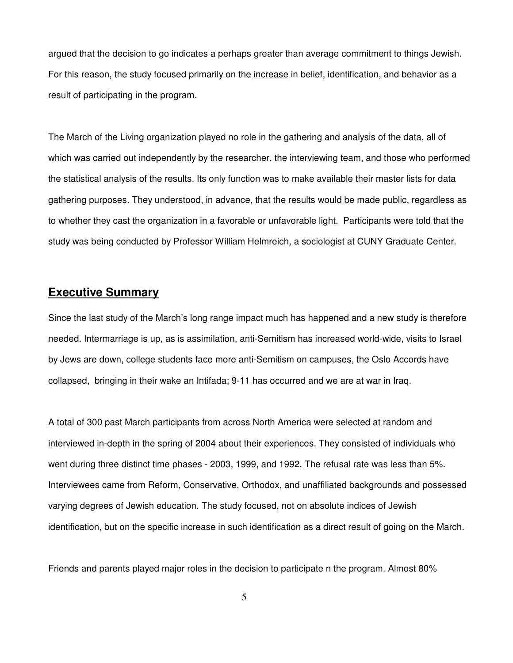argued that the decision to go indicates a perhaps greater than average commitment to things Jewish. For this reason, the study focused primarily on the increase in belief, identification, and behavior as a result of participating in the program.

The March of the Living organization played no role in the gathering and analysis of the data, all of which was carried out independently by the researcher, the interviewing team, and those who performed the statistical analysis of the results. Its only function was to make available their master lists for data gathering purposes. They understood, in advance, that the results would be made public, regardless as to whether they cast the organization in a favorable or unfavorable light. Participants were told that the study was being conducted by Professor William Helmreich, a sociologist at CUNY Graduate Center.

## **Executive Summary**

Since the last study of the March's long range impact much has happened and a new study is therefore needed. Intermarriage is up, as is assimilation, anti-Semitism has increased world-wide, visits to Israel by Jews are down, college students face more anti-Semitism on campuses, the Oslo Accords have collapsed, bringing in their wake an Intifada; 9-11 has occurred and we are at war in Iraq.

A total of 300 past March participants from across North America were selected at random and interviewed in-depth in the spring of 2004 about their experiences. They consisted of individuals who went during three distinct time phases - 2003, 1999, and 1992. The refusal rate was less than 5%. Interviewees came from Reform, Conservative, Orthodox, and unaffiliated backgrounds and possessed varying degrees of Jewish education. The study focused, not on absolute indices of Jewish identification, but on the specific increase in such identification as a direct result of going on the March.

Friends and parents played major roles in the decision to participate n the program. Almost 80%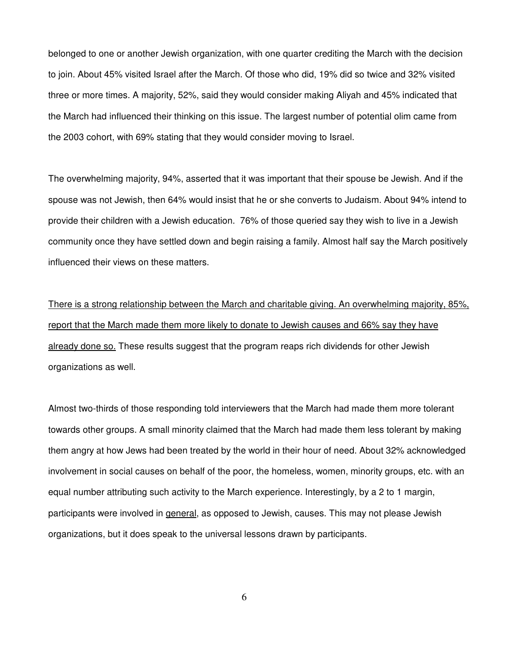belonged to one or another Jewish organization, with one quarter crediting the March with the decision to join. About 45% visited Israel after the March. Of those who did, 19% did so twice and 32% visited three or more times. A majority, 52%, said they would consider making Aliyah and 45% indicated that the March had influenced their thinking on this issue. The largest number of potential olim came from the 2003 cohort, with 69% stating that they would consider moving to Israel.

The overwhelming majority, 94%, asserted that it was important that their spouse be Jewish. And if the spouse was not Jewish, then 64% would insist that he or she converts to Judaism. About 94% intend to provide their children with a Jewish education. 76% of those queried say they wish to live in a Jewish community once they have settled down and begin raising a family. Almost half say the March positively influenced their views on these matters.

There is a strong relationship between the March and charitable giving. An overwhelming majority, 85%, report that the March made them more likely to donate to Jewish causes and 66% say they have already done so. These results suggest that the program reaps rich dividends for other Jewish organizations as well.

Almost two-thirds of those responding told interviewers that the March had made them more tolerant towards other groups. A small minority claimed that the March had made them less tolerant by making them angry at how Jews had been treated by the world in their hour of need. About 32% acknowledged involvement in social causes on behalf of the poor, the homeless, women, minority groups, etc. with an equal number attributing such activity to the March experience. Interestingly, by a 2 to 1 margin, participants were involved in general, as opposed to Jewish, causes. This may not please Jewish organizations, but it does speak to the universal lessons drawn by participants.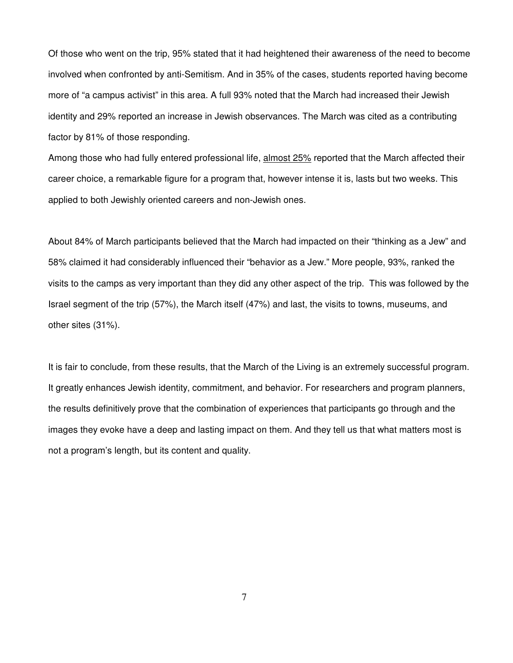Of those who went on the trip, 95% stated that it had heightened their awareness of the need to become involved when confronted by anti-Semitism. And in 35% of the cases, students reported having become more of "a campus activist" in this area. A full 93% noted that the March had increased their Jewish identity and 29% reported an increase in Jewish observances. The March was cited as a contributing factor by 81% of those responding.

Among those who had fully entered professional life, almost 25% reported that the March affected their career choice, a remarkable figure for a program that, however intense it is, lasts but two weeks. This applied to both Jewishly oriented careers and non-Jewish ones.

About 84% of March participants believed that the March had impacted on their "thinking as a Jew" and 58% claimed it had considerably influenced their "behavior as a Jew." More people, 93%, ranked the visits to the camps as very important than they did any other aspect of the trip. This was followed by the Israel segment of the trip (57%), the March itself (47%) and last, the visits to towns, museums, and other sites (31%).

It is fair to conclude, from these results, that the March of the Living is an extremely successful program. It greatly enhances Jewish identity, commitment, and behavior. For researchers and program planners, the results definitively prove that the combination of experiences that participants go through and the images they evoke have a deep and lasting impact on them. And they tell us that what matters most is not a program's length, but its content and quality.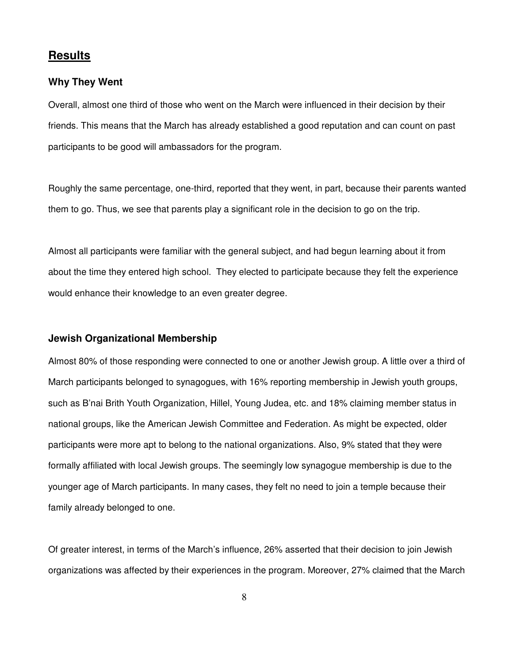## **Results**

#### **Why They Went**

Overall, almost one third of those who went on the March were influenced in their decision by their friends. This means that the March has already established a good reputation and can count on past participants to be good will ambassadors for the program.

Roughly the same percentage, one-third, reported that they went, in part, because their parents wanted them to go. Thus, we see that parents play a significant role in the decision to go on the trip.

Almost all participants were familiar with the general subject, and had begun learning about it from about the time they entered high school. They elected to participate because they felt the experience would enhance their knowledge to an even greater degree.

#### **Jewish Organizational Membership**

Almost 80% of those responding were connected to one or another Jewish group. A little over a third of March participants belonged to synagogues, with 16% reporting membership in Jewish youth groups, such as B'nai Brith Youth Organization, Hillel, Young Judea, etc. and 18% claiming member status in national groups, like the American Jewish Committee and Federation. As might be expected, older participants were more apt to belong to the national organizations. Also, 9% stated that they were formally affiliated with local Jewish groups. The seemingly low synagogue membership is due to the younger age of March participants. In many cases, they felt no need to join a temple because their family already belonged to one.

Of greater interest, in terms of the March's influence, 26% asserted that their decision to join Jewish organizations was affected by their experiences in the program. Moreover, 27% claimed that the March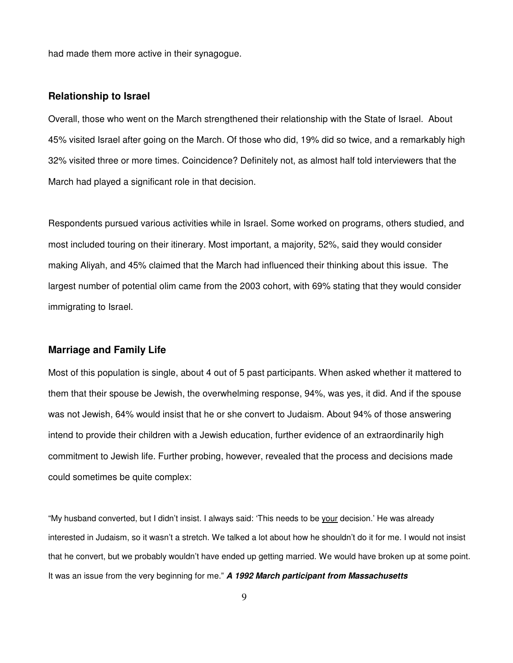had made them more active in their synagogue.

## **Relationship to Israel**

Overall, those who went on the March strengthened their relationship with the State of Israel. About 45% visited Israel after going on the March. Of those who did, 19% did so twice, and a remarkably high 32% visited three or more times. Coincidence? Definitely not, as almost half told interviewers that the March had played a significant role in that decision.

Respondents pursued various activities while in Israel. Some worked on programs, others studied, and most included touring on their itinerary. Most important, a majority, 52%, said they would consider making Aliyah, and 45% claimed that the March had influenced their thinking about this issue. The largest number of potential olim came from the 2003 cohort, with 69% stating that they would consider immigrating to Israel.

## **Marriage and Family Life**

Most of this population is single, about 4 out of 5 past participants. When asked whether it mattered to them that their spouse be Jewish, the overwhelming response, 94%, was yes, it did. And if the spouse was not Jewish, 64% would insist that he or she convert to Judaism. About 94% of those answering intend to provide their children with a Jewish education, further evidence of an extraordinarily high commitment to Jewish life. Further probing, however, revealed that the process and decisions made could sometimes be quite complex:

"My husband converted, but I didn't insist. I always said: 'This needs to be your decision.' He was already interested in Judaism, so it wasn't a stretch. We talked a lot about how he shouldn't do it for me. I would not insist that he convert, but we probably wouldn't have ended up getting married. We would have broken up at some point. It was an issue from the very beginning for me." *A 1992 March participant from Massachusetts*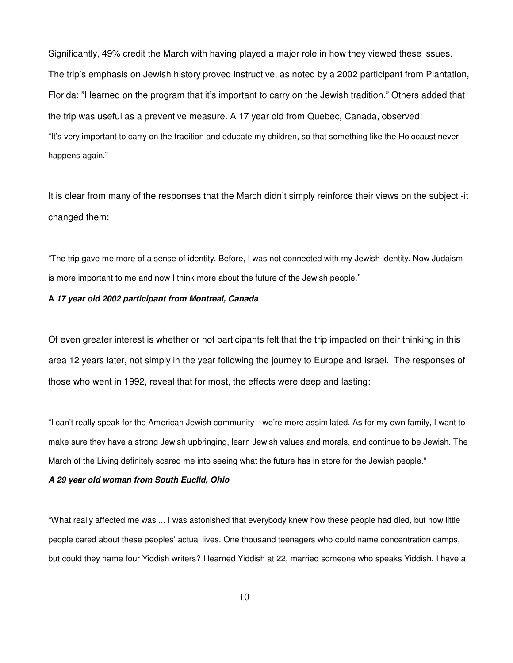Significantly, 49% credit the March with having played a major role in how they viewed these issues. The trip's emphasis on Jewish history proved instructive, as noted by a 2002 participant from Plantation, Florida: "I learned on the program that it's important to carry on the Jewish tradition." Others added that the trip was useful as a preventive measure. A 17 year old from Quebec, Canada, observed: "It's very important to carry on the tradition and educate my children, so that something like the Holocaust never happens again."

It is clear from many of the responses that the March didn't simply reinforce their views on the subject -it changed them:

"The trip gave me more of a sense of identity. Before, I was not connected with my Jewish identity. Now Judaism is more important to me and now I think more about the future of the Jewish people."

#### **A** *17 year old 2002 participant from Montreal, Canada*

Of even greater interest is whether or not participants felt that the trip impacted on their thinking in this area 12 years later, not simply in the year following the journey to Europe and Israel. The responses of those who went in 1992, reveal that for most, the effects were deep and lasting:

"I can't really speak for the American Jewish community—we're more assimilated. As for my own family, I want to make sure they have a strong Jewish upbringing, learn Jewish values and morals, and continue to be Jewish. The March of the Living definitely scared me into seeing what the future has in store for the Jewish people."

#### *A 29 year old woman from South Euclid, Ohio*

"What really affected me was ... I was astonished that everybody knew how these people had died, but how little people cared about these peoples' actual lives. One thousand teenagers who could name concentration camps, but could they name four Yiddish writers? I learned Yiddish at 22, married someone who speaks Yiddish. I have a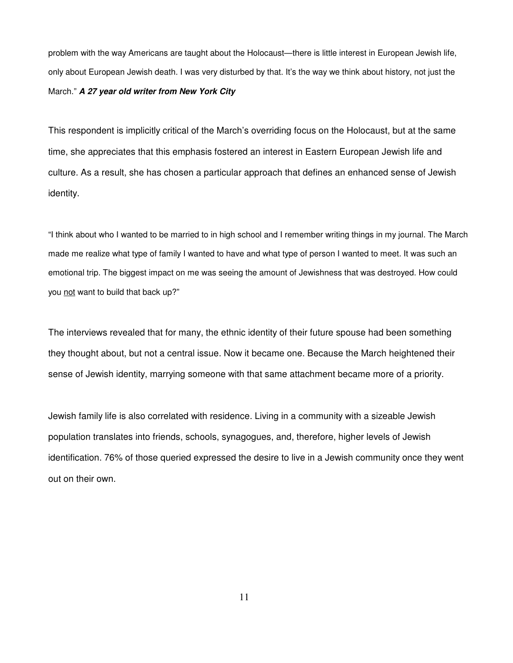problem with the way Americans are taught about the Holocaust—there is little interest in European Jewish life, only about European Jewish death. I was very disturbed by that. It's the way we think about history, not just the March." *A 27 year old writer from New York City*

This respondent is implicitly critical of the March's overriding focus on the Holocaust, but at the same time, she appreciates that this emphasis fostered an interest in Eastern European Jewish life and culture. As a result, she has chosen a particular approach that defines an enhanced sense of Jewish identity.

"I think about who I wanted to be married to in high school and I remember writing things in my journal. The March made me realize what type of family I wanted to have and what type of person I wanted to meet. It was such an emotional trip. The biggest impact on me was seeing the amount of Jewishness that was destroyed. How could you not want to build that back up?"

The interviews revealed that for many, the ethnic identity of their future spouse had been something they thought about, but not a central issue. Now it became one. Because the March heightened their sense of Jewish identity, marrying someone with that same attachment became more of a priority.

Jewish family life is also correlated with residence. Living in a community with a sizeable Jewish population translates into friends, schools, synagogues, and, therefore, higher levels of Jewish identification. 76% of those queried expressed the desire to live in a Jewish community once they went out on their own.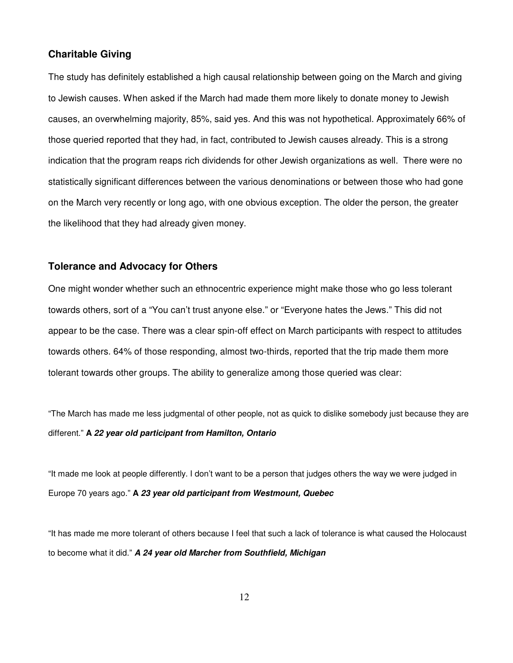#### **Charitable Giving**

The study has definitely established a high causal relationship between going on the March and giving to Jewish causes. When asked if the March had made them more likely to donate money to Jewish causes, an overwhelming majority, 85%, said yes. And this was not hypothetical. Approximately 66% of those queried reported that they had, in fact, contributed to Jewish causes already. This is a strong indication that the program reaps rich dividends for other Jewish organizations as well. There were no statistically significant differences between the various denominations or between those who had gone on the March very recently or long ago, with one obvious exception. The older the person, the greater the likelihood that they had already given money.

#### **Tolerance and Advocacy for Others**

One might wonder whether such an ethnocentric experience might make those who go less tolerant towards others, sort of a "You can't trust anyone else." or "Everyone hates the Jews." This did not appear to be the case. There was a clear spin-off effect on March participants with respect to attitudes towards others. 64% of those responding, almost two-thirds, reported that the trip made them more tolerant towards other groups. The ability to generalize among those queried was clear:

"The March has made me less judgmental of other people, not as quick to dislike somebody just because they are different." **A** *22 year old participant from Hamilton, Ontario*

"It made me look at people differently. I don't want to be a person that judges others the way we were judged in Europe 70 years ago." **A** *23 year old participant from Westmount, Quebec*

"It has made me more tolerant of others because I feel that such a lack of tolerance is what caused the Holocaust to become what it did." *A 24 year old Marcher from Southfield, Michigan*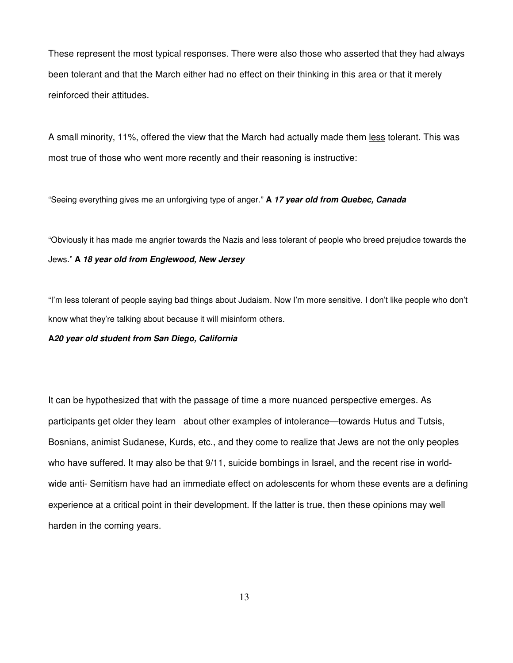These represent the most typical responses. There were also those who asserted that they had always been tolerant and that the March either had no effect on their thinking in this area or that it merely reinforced their attitudes.

A small minority, 11%, offered the view that the March had actually made them less tolerant. This was most true of those who went more recently and their reasoning is instructive:

"Seeing everything gives me an unforgiving type of anger." **A** *17 year old from Quebec, Canada*

"Obviously it has made me angrier towards the Nazis and less tolerant of people who breed prejudice towards the Jews." **A** *18 year old from Englewood, New Jersey*

"I'm less tolerant of people saying bad things about Judaism. Now I'm more sensitive. I don't like people who don't know what they're talking about because it will misinform others.

#### **A***20 year old student from San Diego, California*

It can be hypothesized that with the passage of time a more nuanced perspective emerges. As participants get older they learn about other examples of intolerance—towards Hutus and Tutsis, Bosnians, animist Sudanese, Kurds, etc., and they come to realize that Jews are not the only peoples who have suffered. It may also be that  $9/11$ , suicide bombings in Israel, and the recent rise in worldwide anti- Semitism have had an immediate effect on adolescents for whom these events are a defining experience at a critical point in their development. If the latter is true, then these opinions may well harden in the coming years.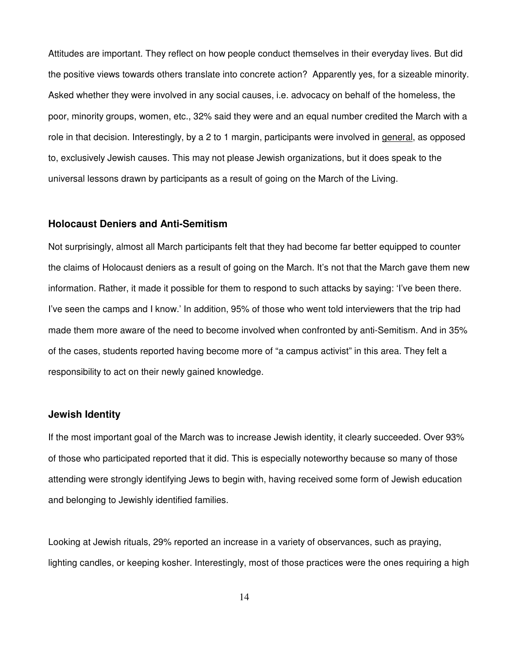Attitudes are important. They reflect on how people conduct themselves in their everyday lives. But did the positive views towards others translate into concrete action? Apparently yes, for a sizeable minority. Asked whether they were involved in any social causes, i.e. advocacy on behalf of the homeless, the poor, minority groups, women, etc., 32% said they were and an equal number credited the March with a role in that decision. Interestingly, by a 2 to 1 margin, participants were involved in general, as opposed to, exclusively Jewish causes. This may not please Jewish organizations, but it does speak to the universal lessons drawn by participants as a result of going on the March of the Living.

#### **Holocaust Deniers and Anti-Semitism**

Not surprisingly, almost all March participants felt that they had become far better equipped to counter the claims of Holocaust deniers as a result of going on the March. It's not that the March gave them new information. Rather, it made it possible for them to respond to such attacks by saying: 'I've been there. I've seen the camps and I know.' In addition, 95% of those who went told interviewers that the trip had made them more aware of the need to become involved when confronted by anti-Semitism. And in 35% of the cases, students reported having become more of "a campus activist" in this area. They felt a responsibility to act on their newly gained knowledge.

## **Jewish Identity**

If the most important goal of the March was to increase Jewish identity, it clearly succeeded. Over 93% of those who participated reported that it did. This is especially noteworthy because so many of those attending were strongly identifying Jews to begin with, having received some form of Jewish education and belonging to Jewishly identified families.

Looking at Jewish rituals, 29% reported an increase in a variety of observances, such as praying, lighting candles, or keeping kosher. Interestingly, most of those practices were the ones requiring a high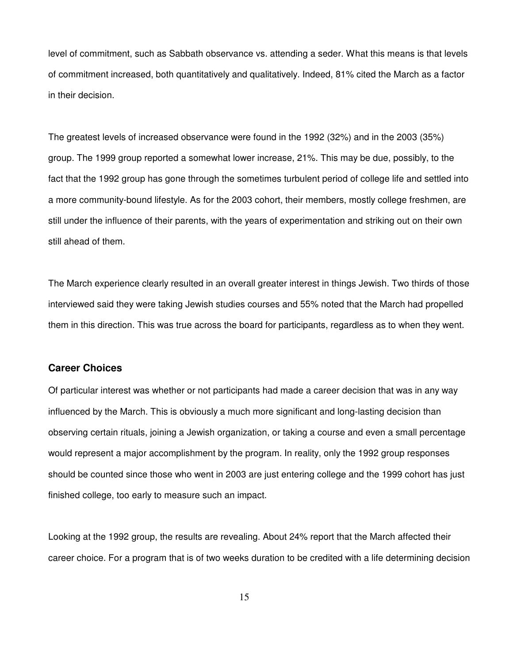level of commitment, such as Sabbath observance vs. attending a seder. What this means is that levels of commitment increased, both quantitatively and qualitatively. Indeed, 81% cited the March as a factor in their decision.

The greatest levels of increased observance were found in the 1992 (32%) and in the 2003 (35%) group. The 1999 group reported a somewhat lower increase, 21%. This may be due, possibly, to the fact that the 1992 group has gone through the sometimes turbulent period of college life and settled into a more community-bound lifestyle. As for the 2003 cohort, their members, mostly college freshmen, are still under the influence of their parents, with the years of experimentation and striking out on their own still ahead of them.

The March experience clearly resulted in an overall greater interest in things Jewish. Two thirds of those interviewed said they were taking Jewish studies courses and 55% noted that the March had propelled them in this direction. This was true across the board for participants, regardless as to when they went.

#### **Career Choices**

Of particular interest was whether or not participants had made a career decision that was in any way influenced by the March. This is obviously a much more significant and long-lasting decision than observing certain rituals, joining a Jewish organization, or taking a course and even a small percentage would represent a major accomplishment by the program. In reality, only the 1992 group responses should be counted since those who went in 2003 are just entering college and the 1999 cohort has just finished college, too early to measure such an impact.

Looking at the 1992 group, the results are revealing. About 24% report that the March affected their career choice. For a program that is of two weeks duration to be credited with a life determining decision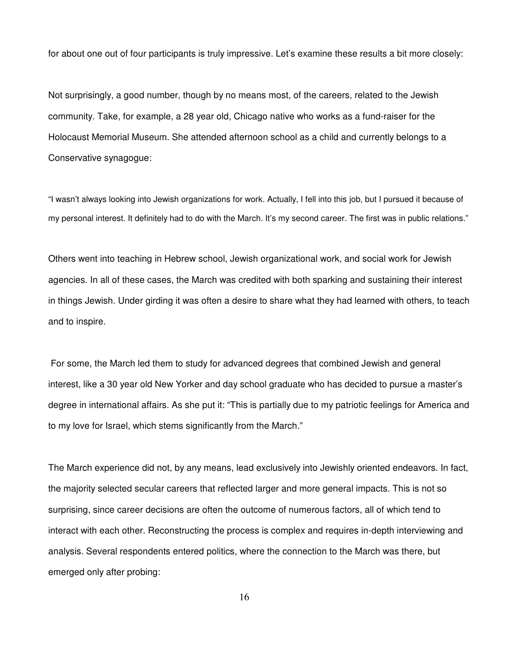for about one out of four participants is truly impressive. Let's examine these results a bit more closely:

Not surprisingly, a good number, though by no means most, of the careers, related to the Jewish community. Take, for example, a 28 year old, Chicago native who works as a fund-raiser for the Holocaust Memorial Museum. She attended afternoon school as a child and currently belongs to a Conservative synagogue:

"I wasn't always looking into Jewish organizations for work. Actually, I fell into this job, but I pursued it because of my personal interest. It definitely had to do with the March. It's my second career. The first was in public relations."

Others went into teaching in Hebrew school, Jewish organizational work, and social work for Jewish agencies. In all of these cases, the March was credited with both sparking and sustaining their interest in things Jewish. Under girding it was often a desire to share what they had learned with others, to teach and to inspire.

For some, the March led them to study for advanced degrees that combined Jewish and general interest, like a 30 year old New Yorker and day school graduate who has decided to pursue a master's degree in international affairs. As she put it: "This is partially due to my patriotic feelings for America and to my love for Israel, which stems significantly from the March."

The March experience did not, by any means, lead exclusively into Jewishly oriented endeavors. In fact, the majority selected secular careers that reflected larger and more general impacts. This is not so surprising, since career decisions are often the outcome of numerous factors, all of which tend to interact with each other. Reconstructing the process is complex and requires in-depth interviewing and analysis. Several respondents entered politics, where the connection to the March was there, but emerged only after probing: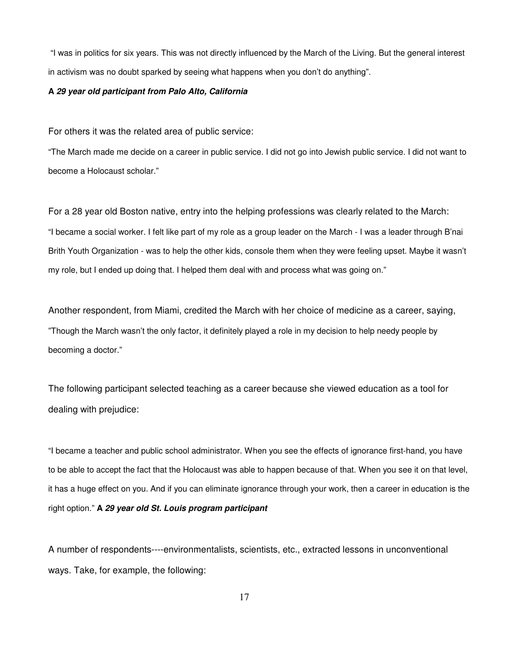"I was in politics for six years. This was not directly influenced by the March of the Living. But the general interest in activism was no doubt sparked by seeing what happens when you don't do anything".

#### **A** *29 year old participant from Palo Alto, California*

For others it was the related area of public service:

"The March made me decide on a career in public service. I did not go into Jewish public service. I did not want to become a Holocaust scholar."

For a 28 year old Boston native, entry into the helping professions was clearly related to the March: "I became a social worker. I felt like part of my role as a group leader on the March - I was a leader through B'nai Brith Youth Organization - was to help the other kids, console them when they were feeling upset. Maybe it wasn't my role, but I ended up doing that. I helped them deal with and process what was going on."

Another respondent, from Miami, credited the March with her choice of medicine as a career, saying, "Though the March wasn't the only factor, it definitely played a role in my decision to help needy people by becoming a doctor."

The following participant selected teaching as a career because she viewed education as a tool for dealing with prejudice:

"I became a teacher and public school administrator. When you see the effects of ignorance first-hand, you have to be able to accept the fact that the Holocaust was able to happen because of that. When you see it on that level, it has a huge effect on you. And if you can eliminate ignorance through your work, then a career in education is the right option." **A** *29 year old St. Louis program participant*

A number of respondents----environmentalists, scientists, etc., extracted lessons in unconventional ways. Take, for example, the following: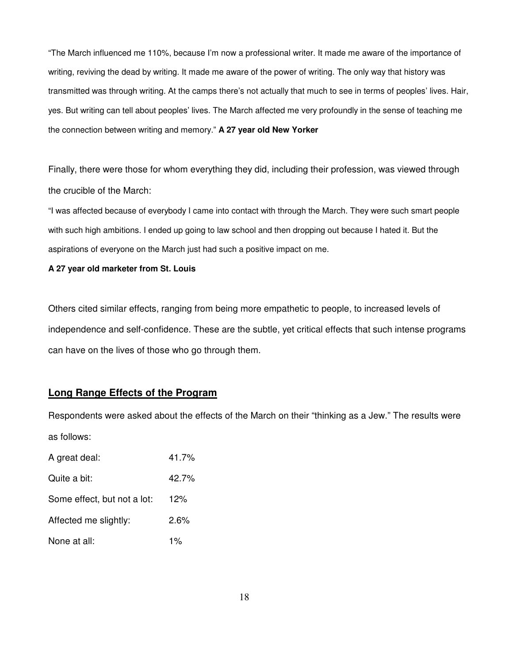"The March influenced me 110%, because I'm now a professional writer. It made me aware of the importance of writing, reviving the dead by writing. It made me aware of the power of writing. The only way that history was transmitted was through writing. At the camps there's not actually that much to see in terms of peoples' lives. Hair, yes. But writing can tell about peoples' lives. The March affected me very profoundly in the sense of teaching me the connection between writing and memory." **A 27 year old New Yorker**

Finally, there were those for whom everything they did, including their profession, was viewed through the crucible of the March:

"I was affected because of everybody I came into contact with through the March. They were such smart people with such high ambitions. I ended up going to law school and then dropping out because I hated it. But the aspirations of everyone on the March just had such a positive impact on me.

**A 27 year old marketer from St. Louis**

Others cited similar effects, ranging from being more empathetic to people, to increased levels of independence and self-confidence. These are the subtle, yet critical effects that such intense programs can have on the lives of those who go through them.

## **Long Range Effects of the Program**

Respondents were asked about the effects of the March on their "thinking as a Jew." The results were as follows:

| A great deal:               | 41.7%   |
|-----------------------------|---------|
| Quite a bit:                | 42.7%   |
| Some effect, but not a lot: | 12%     |
| Affected me slightly:       | $2.6\%$ |
| None at all:                | $1\%$   |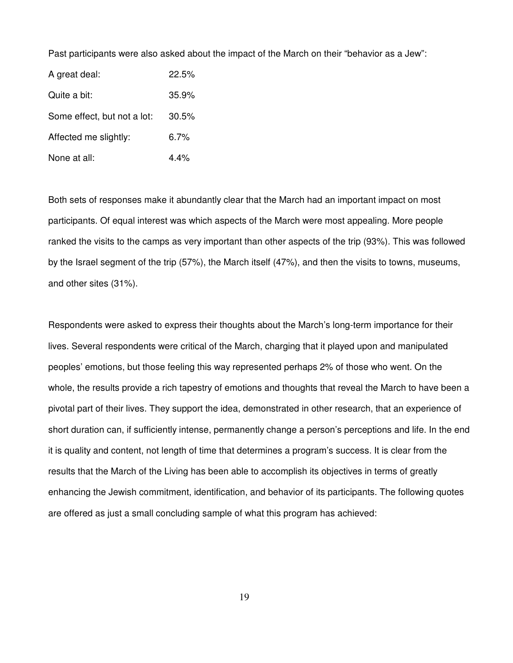Past participants were also asked about the impact of the March on their "behavior as a Jew":

A great deal: 22.5% Quite a bit: 35.9% Some effect, but not a lot: 30.5% Affected me slightly: 6.7% None at all: 4.4%

Both sets of responses make it abundantly clear that the March had an important impact on most participants. Of equal interest was which aspects of the March were most appealing. More people ranked the visits to the camps as very important than other aspects of the trip (93%). This was followed by the Israel segment of the trip (57%), the March itself (47%), and then the visits to towns, museums, and other sites (31%).

Respondents were asked to express their thoughts about the March's long-term importance for their lives. Several respondents were critical of the March, charging that it played upon and manipulated peoples' emotions, but those feeling this way represented perhaps 2% of those who went. On the whole, the results provide a rich tapestry of emotions and thoughts that reveal the March to have been a pivotal part of their lives. They support the idea, demonstrated in other research, that an experience of short duration can, if sufficiently intense, permanently change a person's perceptions and life. In the end it is quality and content, not length of time that determines a program's success. It is clear from the results that the March of the Living has been able to accomplish its objectives in terms of greatly enhancing the Jewish commitment, identification, and behavior of its participants. The following quotes are offered as just a small concluding sample of what this program has achieved: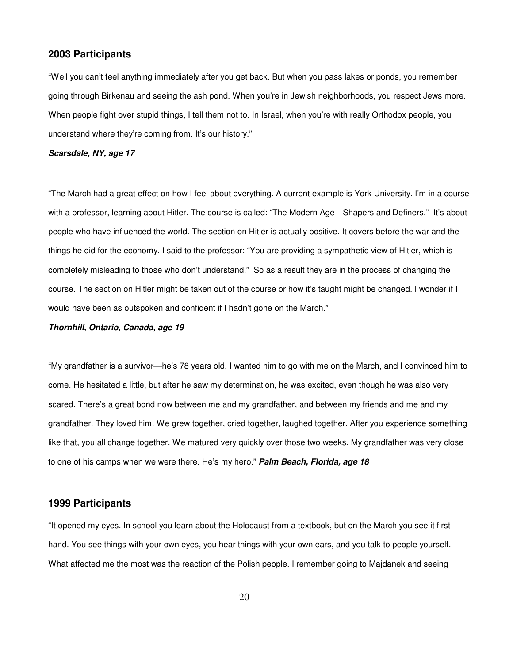#### **2003 Participants**

"Well you can't feel anything immediately after you get back. But when you pass lakes or ponds, you remember going through Birkenau and seeing the ash pond. When you're in Jewish neighborhoods, you respect Jews more. When people fight over stupid things, I tell them not to. In Israel, when you're with really Orthodox people, you understand where they're coming from. It's our history."

#### *Scarsdale, NY, age 17*

"The March had a great effect on how I feel about everything. A current example is York University. I'm in a course with a professor, learning about Hitler. The course is called: "The Modern Age—Shapers and Definers." It's about people who have influenced the world. The section on Hitler is actually positive. It covers before the war and the things he did for the economy. I said to the professor: "You are providing a sympathetic view of Hitler, which is completely misleading to those who don't understand." So as a result they are in the process of changing the course. The section on Hitler might be taken out of the course or how it's taught might be changed. I wonder if I would have been as outspoken and confident if I hadn't gone on the March."

#### *Thornhill, Ontario, Canada, age 19*

"My grandfather is a survivor—he's 78 years old. I wanted him to go with me on the March, and I convinced him to come. He hesitated a little, but after he saw my determination, he was excited, even though he was also very scared. There's a great bond now between me and my grandfather, and between my friends and me and my grandfather. They loved him. We grew together, cried together, laughed together. After you experience something like that, you all change together. We matured very quickly over those two weeks. My grandfather was very close to one of his camps when we were there. He's my hero." *Palm Beach, Florida, age 18*

#### **1999 Participants**

"It opened my eyes. In school you learn about the Holocaust from a textbook, but on the March you see it first hand. You see things with your own eyes, you hear things with your own ears, and you talk to people yourself. What affected me the most was the reaction of the Polish people. I remember going to Majdanek and seeing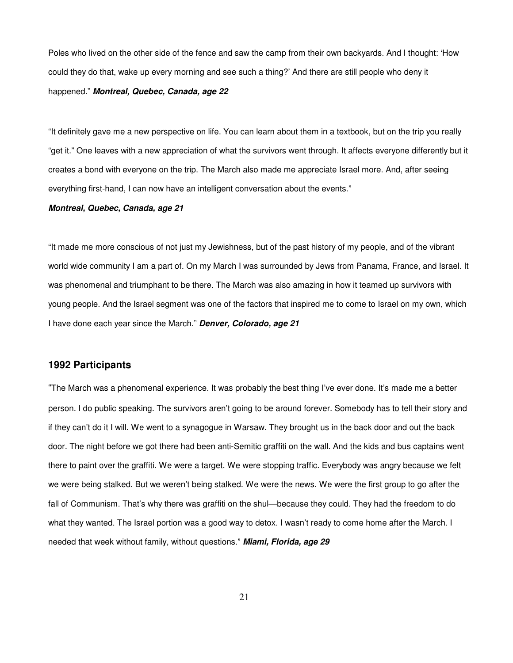Poles who lived on the other side of the fence and saw the camp from their own backyards. And I thought: 'How could they do that, wake up every morning and see such a thing?' And there are still people who deny it happened." *Montreal, Quebec, Canada, age 22*

"It definitely gave me a new perspective on life. You can learn about them in a textbook, but on the trip you really "get it." One leaves with a new appreciation of what the survivors went through. It affects everyone differently but it creates a bond with everyone on the trip. The March also made me appreciate Israel more. And, after seeing everything first-hand, I can now have an intelligent conversation about the events."

#### *Montreal, Quebec, Canada, age 21*

"It made me more conscious of not just my Jewishness, but of the past history of my people, and of the vibrant world wide community I am a part of. On my March I was surrounded by Jews from Panama, France, and Israel. It was phenomenal and triumphant to be there. The March was also amazing in how it teamed up survivors with young people. And the Israel segment was one of the factors that inspired me to come to Israel on my own, which I have done each year since the March." *Denver, Colorado, age 21*

#### **1992 Participants**

"The March was a phenomenal experience. It was probably the best thing I've ever done. It's made me a better person. I do public speaking. The survivors aren't going to be around forever. Somebody has to tell their story and if they can't do it I will. We went to a synagogue in Warsaw. They brought us in the back door and out the back door. The night before we got there had been anti-Semitic graffiti on the wall. And the kids and bus captains went there to paint over the graffiti. We were a target. We were stopping traffic. Everybody was angry because we felt we were being stalked. But we weren't being stalked. We were the news. We were the first group to go after the fall of Communism. That's why there was graffiti on the shul—because they could. They had the freedom to do what they wanted. The Israel portion was a good way to detox. I wasn't ready to come home after the March. I needed that week without family, without questions." *Miami, Florida, age 29*